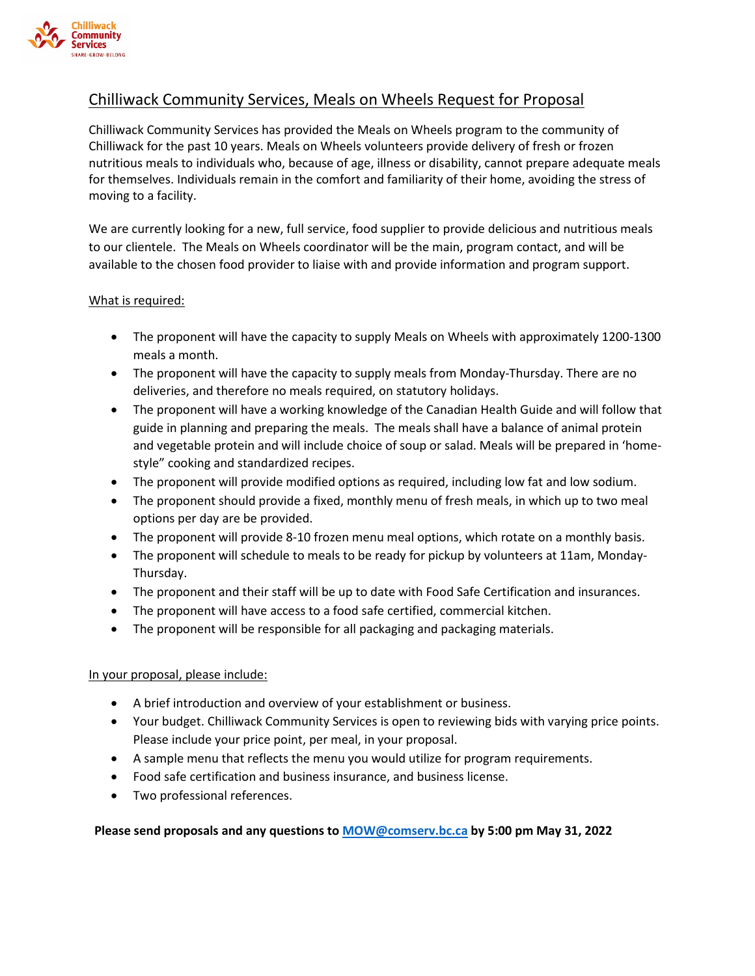

## Chilliwack Community Services, Meals on Wheels Request for Proposal

Chilliwack Community Services has provided the Meals on Wheels program to the community of Chilliwack for the past 10 years. Meals on Wheels volunteers provide delivery of fresh or frozen nutritious meals to individuals who, because of age, illness or disability, cannot prepare adequate meals for themselves. Individuals remain in the comfort and familiarity of their home, avoiding the stress of moving to a facility.

We are currently looking for a new, full service, food supplier to provide delicious and nutritious meals to our clientele. The Meals on Wheels coordinator will be the main, program contact, and will be available to the chosen food provider to liaise with and provide information and program support.

### What is required:

- The proponent will have the capacity to supply Meals on Wheels with approximately 1200-1300 meals a month.
- The proponent will have the capacity to supply meals from Monday-Thursday. There are no deliveries, and therefore no meals required, on statutory holidays.
- The proponent will have a working knowledge of the Canadian Health Guide and will follow that guide in planning and preparing the meals. The meals shall have a balance of animal protein and vegetable protein and will include choice of soup or salad. Meals will be prepared in 'homestyle" cooking and standardized recipes.
- The proponent will provide modified options as required, including low fat and low sodium.
- The proponent should provide a fixed, monthly menu of fresh meals, in which up to two meal options per day are be provided.
- The proponent will provide 8-10 frozen menu meal options, which rotate on a monthly basis.
- The proponent will schedule to meals to be ready for pickup by volunteers at 11am, Monday-Thursday.
- The proponent and their staff will be up to date with Food Safe Certification and insurances.
- The proponent will have access to a food safe certified, commercial kitchen.
- The proponent will be responsible for all packaging and packaging materials.

### In your proposal, please include:

- A brief introduction and overview of your establishment or business.
- Your budget. Chilliwack Community Services is open to reviewing bids with varying price points. Please include your price point, per meal, in your proposal.
- A sample menu that reflects the menu you would utilize for program requirements.
- Food safe certification and business insurance, and business license.
- Two professional references.

### **Please send proposals and any questions t[o MOW@comserv.bc.ca](mailto:MOW@comserv.bc.ca) by 5:00 pm May 31, 2022**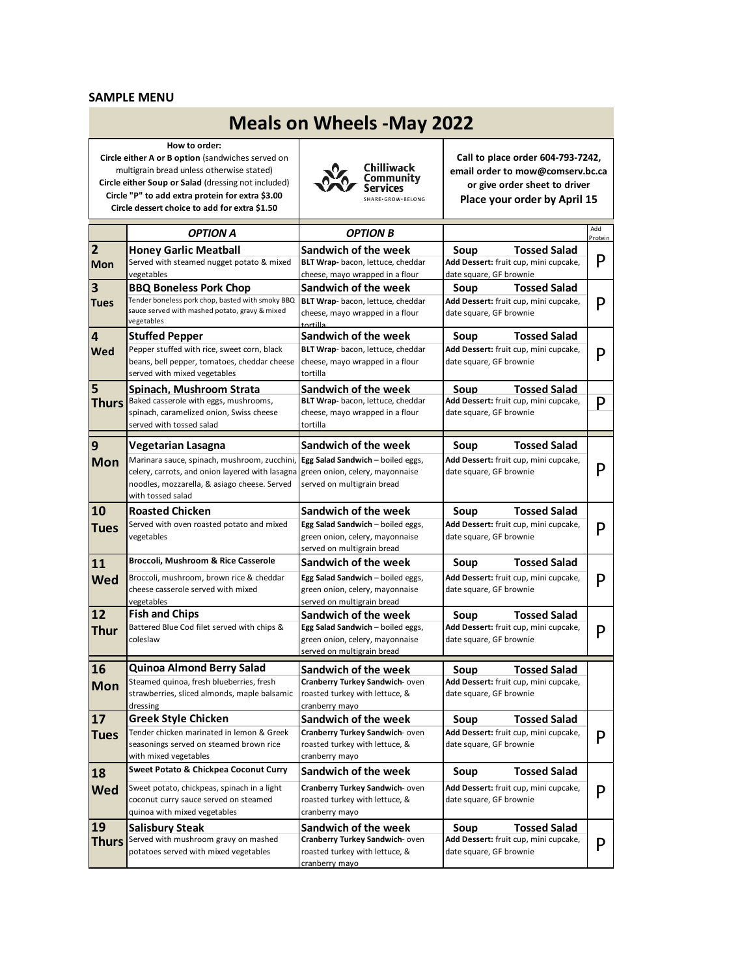#### **SAMPLE MENU**

# **Meals on Wheels -May 2022**

| How to order:<br>Circle either A or B option (sandwiches served on<br>multigrain bread unless otherwise stated)<br>Circle either Soup or Salad (dressing not included)<br>Circle "P" to add extra protein for extra \$3.00<br>Circle dessert choice to add for extra \$1.50 |                                                                                                    | Chilliwack<br>Community<br>Services<br>SHARE-GROW-BELONG         | Call to place order 604-793-7242,<br>email order to mow@comserv.bc.ca<br>or give order sheet to driver<br>Place your order by April 15 |                |  |  |  |
|-----------------------------------------------------------------------------------------------------------------------------------------------------------------------------------------------------------------------------------------------------------------------------|----------------------------------------------------------------------------------------------------|------------------------------------------------------------------|----------------------------------------------------------------------------------------------------------------------------------------|----------------|--|--|--|
|                                                                                                                                                                                                                                                                             | <b>OPTION A</b>                                                                                    | <b>OPTION B</b>                                                  |                                                                                                                                        | Add<br>Protein |  |  |  |
| $\overline{2}$                                                                                                                                                                                                                                                              | <b>Honey Garlic Meatball</b>                                                                       | Sandwich of the week                                             | <b>Tossed Salad</b><br>Soup                                                                                                            |                |  |  |  |
| <b>Mon</b>                                                                                                                                                                                                                                                                  | Served with steamed nugget potato & mixed                                                          | BLT Wrap-bacon, lettuce, cheddar                                 | Add Dessert: fruit cup, mini cupcake,                                                                                                  | P              |  |  |  |
|                                                                                                                                                                                                                                                                             | vegetables                                                                                         | cheese, mayo wrapped in a flour                                  | date square, GF brownie                                                                                                                |                |  |  |  |
| 3                                                                                                                                                                                                                                                                           | <b>BBQ Boneless Pork Chop</b>                                                                      | Sandwich of the week                                             | <b>Tossed Salad</b><br>Soup                                                                                                            |                |  |  |  |
| <b>Tues</b>                                                                                                                                                                                                                                                                 | Tender boneless pork chop, basted with smoky BBQ<br>sauce served with mashed potato, gravy & mixed | BLT Wrap-bacon, lettuce, cheddar                                 | Add Dessert: fruit cup, mini cupcake,                                                                                                  | P              |  |  |  |
|                                                                                                                                                                                                                                                                             | vegetables                                                                                         | cheese, mayo wrapped in a flour<br>tortilla                      | date square, GF brownie                                                                                                                |                |  |  |  |
| $\overline{\mathbf{4}}$                                                                                                                                                                                                                                                     | <b>Stuffed Pepper</b>                                                                              | Sandwich of the week                                             | <b>Tossed Salad</b><br>Soup                                                                                                            |                |  |  |  |
| <b>Wed</b>                                                                                                                                                                                                                                                                  | Pepper stuffed with rice, sweet corn, black                                                        | BLT Wrap-bacon, lettuce, cheddar                                 | Add Dessert: fruit cup, mini cupcake,                                                                                                  |                |  |  |  |
|                                                                                                                                                                                                                                                                             | beans, bell pepper, tomatoes, cheddar cheese                                                       | cheese, mayo wrapped in a flour                                  | date square, GF brownie                                                                                                                | P              |  |  |  |
|                                                                                                                                                                                                                                                                             | served with mixed vegetables                                                                       | tortilla                                                         |                                                                                                                                        |                |  |  |  |
| 5                                                                                                                                                                                                                                                                           | Spinach, Mushroom Strata                                                                           | Sandwich of the week                                             | <b>Tossed Salad</b><br>Soup                                                                                                            |                |  |  |  |
| <b>Thurs</b>                                                                                                                                                                                                                                                                | Baked casserole with eggs, mushrooms,                                                              | BLT Wrap-bacon, lettuce, cheddar                                 | Add Dessert: fruit cup, mini cupcake,                                                                                                  | P              |  |  |  |
|                                                                                                                                                                                                                                                                             | spinach, caramelized onion, Swiss cheese<br>served with tossed salad                               | cheese, mayo wrapped in a flour<br>tortilla                      | date square, GF brownie                                                                                                                |                |  |  |  |
|                                                                                                                                                                                                                                                                             |                                                                                                    |                                                                  |                                                                                                                                        |                |  |  |  |
| 9                                                                                                                                                                                                                                                                           | Vegetarian Lasagna                                                                                 | Sandwich of the week                                             | <b>Tossed Salad</b><br>Soup                                                                                                            |                |  |  |  |
| <b>Mon</b>                                                                                                                                                                                                                                                                  | Marinara sauce, spinach, mushroom, zucchini,                                                       | Egg Salad Sandwich - boiled eggs,                                | Add Dessert: fruit cup, mini cupcake,                                                                                                  | P              |  |  |  |
|                                                                                                                                                                                                                                                                             | celery, carrots, and onion layered with lasagna<br>noodles, mozzarella, & asiago cheese. Served    | green onion, celery, mayonnaise<br>served on multigrain bread    | date square, GF brownie                                                                                                                |                |  |  |  |
|                                                                                                                                                                                                                                                                             | with tossed salad                                                                                  |                                                                  |                                                                                                                                        |                |  |  |  |
|                                                                                                                                                                                                                                                                             |                                                                                                    |                                                                  |                                                                                                                                        |                |  |  |  |
|                                                                                                                                                                                                                                                                             | <b>Roasted Chicken</b>                                                                             | Sandwich of the week                                             |                                                                                                                                        |                |  |  |  |
| 10                                                                                                                                                                                                                                                                          | Served with oven roasted potato and mixed                                                          | Egg Salad Sandwich - boiled eggs,                                | <b>Tossed Salad</b><br>Soup<br>Add Dessert: fruit cup, mini cupcake,                                                                   |                |  |  |  |
| <b>Tues</b>                                                                                                                                                                                                                                                                 | vegetables                                                                                         | green onion, celery, mayonnaise                                  | date square, GF brownie                                                                                                                | P              |  |  |  |
|                                                                                                                                                                                                                                                                             |                                                                                                    | served on multigrain bread                                       |                                                                                                                                        |                |  |  |  |
| 11                                                                                                                                                                                                                                                                          | Broccoli, Mushroom & Rice Casserole                                                                | Sandwich of the week                                             | <b>Tossed Salad</b><br>Soup                                                                                                            |                |  |  |  |
| <b>Wed</b>                                                                                                                                                                                                                                                                  | Broccoli, mushroom, brown rice & cheddar                                                           | Egg Salad Sandwich - boiled eggs,                                | Add Dessert: fruit cup, mini cupcake,                                                                                                  | P              |  |  |  |
|                                                                                                                                                                                                                                                                             | cheese casserole served with mixed                                                                 | green onion, celery, mayonnaise                                  | date square, GF brownie                                                                                                                |                |  |  |  |
| 12                                                                                                                                                                                                                                                                          | vegetables<br><b>Fish and Chips</b>                                                                | served on multigrain bread<br>Sandwich of the week               |                                                                                                                                        |                |  |  |  |
|                                                                                                                                                                                                                                                                             | Battered Blue Cod filet served with chips &                                                        | Egg Salad Sandwich - boiled eggs,                                | <b>Tossed Salad</b><br>Soup<br>Add Dessert: fruit cup, mini cupcake,                                                                   |                |  |  |  |
| <b>Thur</b>                                                                                                                                                                                                                                                                 | coleslaw                                                                                           | green onion, celery, mayonnaise                                  | date square, GF brownie                                                                                                                | P              |  |  |  |
|                                                                                                                                                                                                                                                                             |                                                                                                    | served on multigrain bread                                       |                                                                                                                                        |                |  |  |  |
| 16                                                                                                                                                                                                                                                                          | Quinoa Almond Berry Salad                                                                          | <b>Sandwich of the week</b>                                      | <b>Tossed Salad</b><br>Soup                                                                                                            |                |  |  |  |
| Mon                                                                                                                                                                                                                                                                         | Steamed quinoa, fresh blueberries, fresh                                                           | Cranberry Turkey Sandwich-oven                                   | Add Dessert: fruit cup, mini cupcake,                                                                                                  |                |  |  |  |
|                                                                                                                                                                                                                                                                             | strawberries, sliced almonds, maple balsamic                                                       | roasted turkey with lettuce, &                                   | date square, GF brownie                                                                                                                |                |  |  |  |
|                                                                                                                                                                                                                                                                             | dressing                                                                                           | cranberry mayo                                                   |                                                                                                                                        |                |  |  |  |
| 17                                                                                                                                                                                                                                                                          | <b>Greek Style Chicken</b><br>Tender chicken marinated in lemon & Greek                            | Sandwich of the week                                             | <b>Tossed Salad</b><br>Soup                                                                                                            |                |  |  |  |
| <b>Tues</b>                                                                                                                                                                                                                                                                 | seasonings served on steamed brown rice                                                            | Cranberry Turkey Sandwich-oven<br>roasted turkey with lettuce, & | Add Dessert: fruit cup, mini cupcake,<br>date square, GF brownie                                                                       | P              |  |  |  |
|                                                                                                                                                                                                                                                                             | with mixed vegetables                                                                              | cranberry mayo                                                   |                                                                                                                                        |                |  |  |  |
| 18                                                                                                                                                                                                                                                                          | Sweet Potato & Chickpea Coconut Curry                                                              | Sandwich of the week                                             | <b>Tossed Salad</b><br>Soup                                                                                                            |                |  |  |  |
|                                                                                                                                                                                                                                                                             | Sweet potato, chickpeas, spinach in a light                                                        | Cranberry Turkey Sandwich-oven                                   | Add Dessert: fruit cup, mini cupcake,                                                                                                  |                |  |  |  |
| Wed                                                                                                                                                                                                                                                                         | coconut curry sauce served on steamed                                                              | roasted turkey with lettuce, &                                   | date square, GF brownie                                                                                                                | P              |  |  |  |
|                                                                                                                                                                                                                                                                             | quinoa with mixed vegetables                                                                       | cranberry mayo                                                   |                                                                                                                                        |                |  |  |  |
| 19                                                                                                                                                                                                                                                                          | <b>Salisbury Steak</b>                                                                             | Sandwich of the week                                             | Soup<br><b>Tossed Salad</b>                                                                                                            |                |  |  |  |
| <b>Thurs</b>                                                                                                                                                                                                                                                                | Served with mushroom gravy on mashed<br>potatoes served with mixed vegetables                      | Cranberry Turkey Sandwich-oven<br>roasted turkey with lettuce, & | Add Dessert: fruit cup, mini cupcake,<br>date square, GF brownie                                                                       | P              |  |  |  |